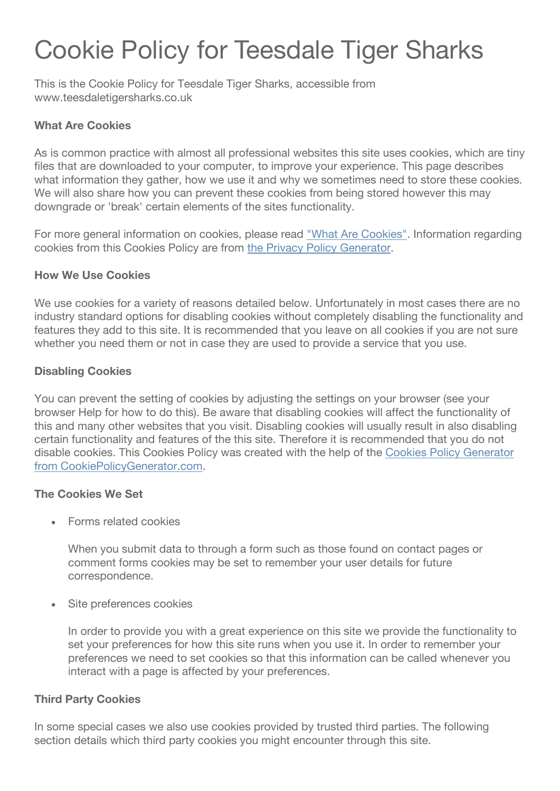# Cookie Policy for Teesdale Tiger Sharks

This is the Cookie Policy for Teesdale Tiger Sharks, accessible from www.teesdaletigersharks.co.uk

### **What Are Cookies**

As is common practice with almost all professional websites this site uses cookies, which are tiny files that are downloaded to your computer, to improve your experience. This page describes what information they gather, how we use it and why we sometimes need to store these cookies. We will also share how you can prevent these cookies from being stored however this may downgrade or 'break' certain elements of the sites functionality.

For more general information on cookies, please read "What Are Cookies". Information regarding cookies from this Cookies Policy are from the Privacy Policy Generator.

#### **How We Use Cookies**

We use cookies for a variety of reasons detailed below. Unfortunately in most cases there are no industry standard options for disabling cookies without completely disabling the functionality and features they add to this site. It is recommended that you leave on all cookies if you are not sure whether you need them or not in case they are used to provide a service that you use.

#### **Disabling Cookies**

You can prevent the setting of cookies by adjusting the settings on your browser (see your browser Help for how to do this). Be aware that disabling cookies will affect the functionality of this and many other websites that you visit. Disabling cookies will usually result in also disabling certain functionality and features of the this site. Therefore it is recommended that you do not disable cookies. This Cookies Policy was created with the help of the Cookies Policy Generator from CookiePolicyGenerator.com.

#### **The Cookies We Set**

• Forms related cookies

When you submit data to through a form such as those found on contact pages or comment forms cookies may be set to remember your user details for future correspondence.

Site preferences cookies

In order to provide you with a great experience on this site we provide the functionality to set your preferences for how this site runs when you use it. In order to remember your preferences we need to set cookies so that this information can be called whenever you interact with a page is affected by your preferences.

## **Third Party Cookies**

In some special cases we also use cookies provided by trusted third parties. The following section details which third party cookies you might encounter through this site.